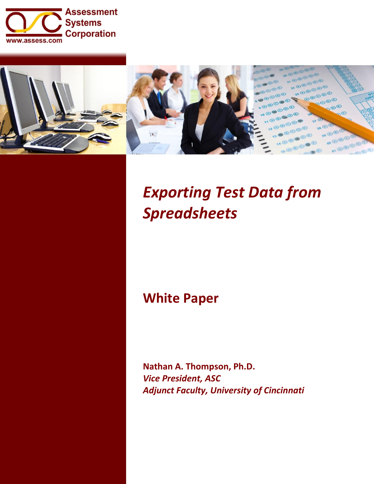



# *Exporting Test Data from Spreadsheets*

# **White Paper**

**Nathan A. Thompson, Ph.D.** *Vice President, ASC Adjunct Faculty, University of Cincinnati*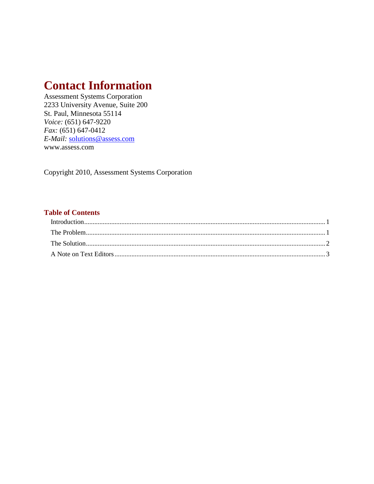# **Contact Information**

Assessment Systems Corporation 2233 University Avenue, Suite 200 St. Paul, Minnesota 55114 *Voice:* (651) 647-9220 *Fax:* (651) 647-0412 *E-Mail:* [solutions@assess.com](mailto:solutions@assess.com) www.assess.com

Copyright 2010, Assessment Systems Corporation

#### **Table of Contents**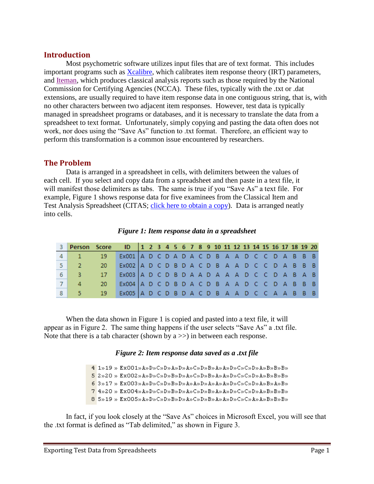### <span id="page-2-0"></span>**Introduction**

Most psychometric software utilizes input files that are of text format. This includes important programs such as [Xcalibre,](http://www.assess.com/xcart/product.php?productid=569) which calibrates item response theory (IRT) parameters, and [Iteman,](http://www.assess.com/xcart/product.php?productid=541) which produces classical analysis reports such as those required by the National Commission for Certifying Agencies (NCCA). These files, typically with the .txt or .dat extensions, are usually required to have item response data in one contiguous string, that is, with no other characters between two adjacent item responses. However, test data is typically managed in spreadsheet programs or databases, and it is necessary to translate the data from a spreadsheet to text format. Unfortunately, simply copying and pasting the data often does not work, nor does using the "Save As" function to .txt format. Therefore, an efficient way to perform this transformation is a common issue encountered by researchers.

# <span id="page-2-1"></span>**The Problem**

Data is arranged in a spreadsheet in cells, with delimiters between the values of each cell. If you select and copy data from a spreadsheet and then paste in a text file, it will manifest those delimiters as tabs. The same is true if you "Save As" a text file. For example, Figure 1 shows response data for five examinees from the Classical Item and Test Analysis Spreadsheet (CITAS; [click here to obtain a copy\)](http://www.assess.com/xcart/product.php?productid=522&cat=19&page=1). Data is arranged neatly into cells.

| 3 Person Score ID   1 2 3 4 5 6 7 8 9 10 11 12 13 14 15 16 17 18 19 20 |                                                 |  |  |  |  |  |  |  |  |  |  |
|------------------------------------------------------------------------|-------------------------------------------------|--|--|--|--|--|--|--|--|--|--|
| $4 \mid 1 \mid 19 \mid$                                                | Ex001   A D C D A D A C D B A A D C C D A B B B |  |  |  |  |  |  |  |  |  |  |
| 5 2 20                                                                 | Ex002   A D C D B D A C D B A A D C C D A B B B |  |  |  |  |  |  |  |  |  |  |
| 6 3 17                                                                 | Ex003   A D C D B D A A D A A A D C C D A B A B |  |  |  |  |  |  |  |  |  |  |
| 4 20                                                                   | Ex004   A D C D B D A C D B A A D C C D A B B B |  |  |  |  |  |  |  |  |  |  |
| 8 5 19                                                                 | Ex005 A D C D B D A C D B A A D C C A A B B B   |  |  |  |  |  |  |  |  |  |  |

*Figure 1: Item response data in a spreadsheet*

When the data shown in Figure 1 is copied and pasted into a text file, it will appear as in Figure 2. The same thing happens if the user selects "Save As" a .txt file. Note that there is a tab character (shown by  $a \gg$ ) in between each response.

#### *Figure 2: Item response data saved as a .txt file*

```
4 1»19 » ExOO1»A»D»C»D»A»D»A»C»D»B»A»A»D»C»C»D»A»B»B»B»B»
52920 \times ExOO2 \times A\timesD\timesC\timesD\timesB\timesD\timesA\timesC\timesD\timesB\timesA\timesD\timesC\timesC\timesD\timesA\timesB\timesB\timesB\times63 \times 17 \times Ex003 \times A \times D \times C \times D \times B \times D \times A \times D \times A \times A \times D \times C \times C \times D \times A \times B \times B \times74920 \times ExOO4»AxD»C»D»B»B»A»C»D»B»AxB»D»C»C»D»AxB»B»B»
8 5»19 » ExOO5»A»D»C»D»B»D»A»C»D»B»A»A»D»C»C»C»A»A»B»B»B»
```
In fact, if you look closely at the "Save As" choices in Microsoft Excel, you will see that the .txt format is defined as "Tab delimited," as shown in Figure 3.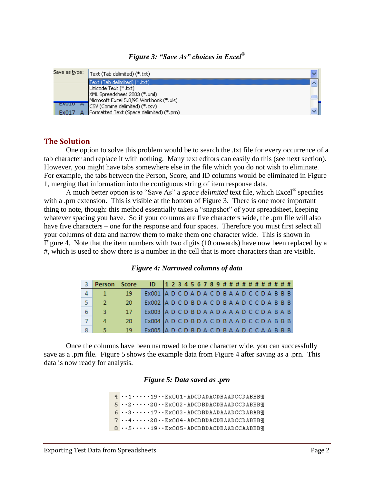*Figure 3: "Save As" choices in Excel®*



## <span id="page-3-0"></span>**The Solution**

One option to solve this problem would be to search the .txt file for every occurrence of a tab character and replace it with nothing. Many text editors can easily do this (see next section). However, you might have tabs somewhere else in the file which you do not wish to eliminate. For example, the tabs between the Person, Score, and ID columns would be eliminated in Figure 1, merging that information into the contiguous string of item response data.

A much better option is to "Save As" a *space delimited* text file, which Excel® specifies with a .prn extension. This is visible at the bottom of Figure 3. There is one more important thing to note, though: this method essentially takes a "snapshot" of your spreadsheet, keeping whatever spacing you have. So if your columns are five characters wide, the .prn file will also have five characters – one for the response and four spaces. Therefore you must first select all your columns of data and narrow them to make them one character wide. This is shown in Figure 4. Note that the item numbers with two digits (10 onwards) have now been replaced by a #, which is used to show there is a number in the cell that is more characters than are visible.

#### *Figure 4: Narrowed columns of data*

| Person Score ID 123456789########### |     |                                               |  |  |  |  |  |  |  |  |  |  |
|--------------------------------------|-----|-----------------------------------------------|--|--|--|--|--|--|--|--|--|--|
|                                      | 19. | Ex001 A D C D A D A C D B A A D C C D A B B B |  |  |  |  |  |  |  |  |  |  |
| -27                                  | 20  | Ex002 ADCDBDACDBAADCCDABBB                    |  |  |  |  |  |  |  |  |  |  |
| 3.                                   | -17 | Ex003 ADCDBDAADAAADCCDABAB                    |  |  |  |  |  |  |  |  |  |  |
| 4                                    | 20  | Ex004 A D C D B D A C D B A A D C C D A B B B |  |  |  |  |  |  |  |  |  |  |
| 5.                                   | 19  | Ex005 ADCDBDACDBAADCCAABBB                    |  |  |  |  |  |  |  |  |  |  |

Once the columns have been narrowed to be one character wide, you can successfully save as a .prn file. Figure 5 shows the example data from Figure 4 after saving as a .prn. This data is now ready for analysis.

#### *Figure 5: Data saved as .prn*

 $4 \cdot 1 \cdot 1 \cdot 1$ 9. Ex001. ADCDADACDBAADCCDABBBT  $5 \cdot 2 \cdot 2 \cdot 20 \cdot 5$  Ex002 · ADCDBDACDBAADCCDABBBT  $6 \cdot 3 \cdot \cdot \cdot 17 \cdot \cdot$  Ex003 · ADCDBDAADAAADCCDABABT  $7 \cdot 4 \cdot 7 \cdot 20 \cdot$  Ex004 · ADCDBDACDBAADCCDABBBT